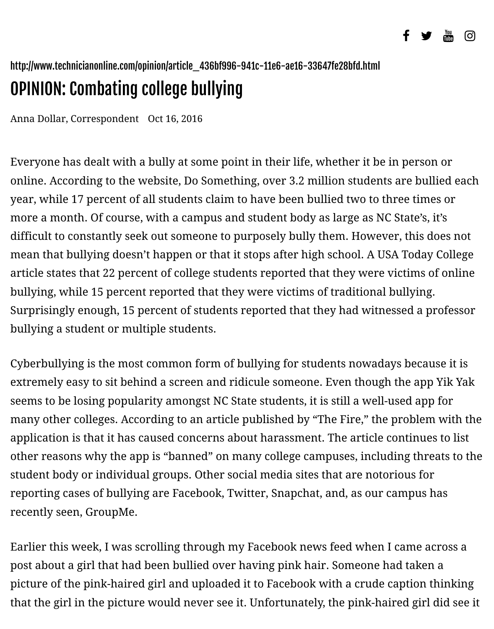## OPINION: Combating college bullying

Anna Dollar, Correspondent Oct 16, 2016

Everyone has dealt with a bully at some point in their life, whether it be in per online. According to the website, Do Something, over 3.2 million students are bullied each each each each each each each education. year, while 17 percent of all students claim to have been bullied two to three ti more a month. Of course, with a campus and student body as large as NC State difficult to constantly seek out someone to purposely bully them. However, thi mean that bullying doesn't happen or that it stops after high school. A USA Tod article states that 22 percent of college students reported that they were victim bullying, while 15 percent reported that they were victims of traditional bullyi Surprisingly enough, 15 percent of students reported that they had witnessed a bullying a student or multiple students.

Cyberbullying is the most common form of bullying for students nowadays because it is interesting to it is in extremely easy to sit behind a screen and ridicule someone. Even though the a seems to be losing popularity amongst NC State students, it is still a well-used a many other colleges. According to an article published by "The Fire," the probl application is that it has caused concerns about harassment. The article contin other reasons why the app is "banned" on many college campuses, including the student body or individual groups. Other social media sites that are notorious f reporting cases of bullying are Facebook, Twitter, Snapchat, and, as our campus recently seen, GroupMe.

Earlier this week, I was scrolling through my Facebook news feed when I came post about a girl that had been bullied over having pink hair. Someone had tak picture of the pink-haired girl and uploaded it to Facebook with a crude captio that the girl in the picture would never see it. Unfortunately, the pink-haired gi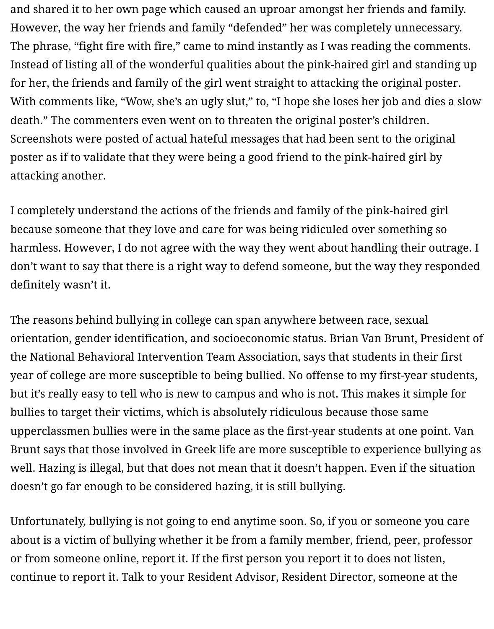and shared it to her own page which caused an uproar amongst her friends and family. However, the way her friends and family "defended" her was completely unnecessary. The phrase, "fight fire with fire," came to mind instantly as I was reading the comments. Instead of listing all of the wonderful qualities about the pink-haired girl and standing up for her, the friends and family of the girl went straight to attacking the original poster. With comments like, "Wow, she's an ugly slut," to, "I hope she loses her job and dies a slow death." The commenters even went on to threaten the original poster's children. Screenshots were posted of actual hateful messages that had been sent to the original poster as if to validate that they were being a good friend to the pink-haired girl by attacking another.

I completely understand the actions of the friends and family of the pink-haired girl because someone that they love and care for was being ridiculed over something so harmless. However, I do not agree with the way they went about handling their outrage. I don't want to say that there is a right way to defend someone, but the way they responded definitely wasn't it.

The reasons behind bullying in college can span anywhere between race, sexual orientation, gender identification, and socioeconomic status. Brian Van Brunt, President of the National Behavioral Intervention Team Association, says that students in their first year of college are more susceptible to being bullied. No offense to my first-year students, but it's really easy to tell who is new to campus and who is not. This makes it simple for bullies to target their victims, which is absolutely ridiculous because those same upperclassmen bullies were in the same place as the first-year students at one point. Van Brunt says that those involved in Greek life are more susceptible to experience bullying as well. Hazing is illegal, but that does not mean that it doesn't happen. Even if the situation doesn't go far enough to be considered hazing, it is still bullying.

Unfortunately, bullying is not going to end anytime soon. So, if you or someone you care about is a victim of bullying whether it be from a family member, friend, peer, professor or from someone online, report it. If the first person you report it to does not listen, continue to report it. Talk to your Resident Advisor, Resident Director, someone at the